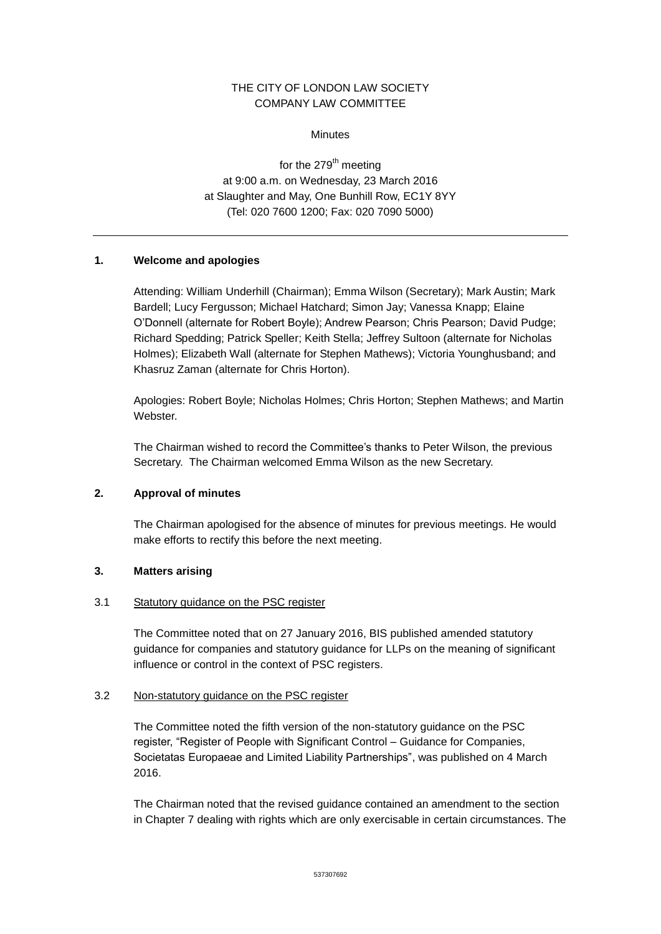# THE CITY OF LONDON LAW SOCIETY COMPANY LAW COMMITTEE

### Minutes

for the  $279<sup>th</sup>$  meeting at 9:00 a.m. on Wednesday, 23 March 2016 at Slaughter and May, One Bunhill Row, EC1Y 8YY (Tel: 020 7600 1200; Fax: 020 7090 5000)

# **1. Welcome and apologies**

Attending: William Underhill (Chairman); Emma Wilson (Secretary); Mark Austin; Mark Bardell; Lucy Fergusson; Michael Hatchard; Simon Jay; Vanessa Knapp; Elaine O'Donnell (alternate for Robert Boyle); Andrew Pearson; Chris Pearson; David Pudge; Richard Spedding; Patrick Speller; Keith Stella; Jeffrey Sultoon (alternate for Nicholas Holmes); Elizabeth Wall (alternate for Stephen Mathews); Victoria Younghusband; and Khasruz Zaman (alternate for Chris Horton).

Apologies: Robert Boyle; Nicholas Holmes; Chris Horton; Stephen Mathews; and Martin Webster.

The Chairman wished to record the Committee's thanks to Peter Wilson, the previous Secretary. The Chairman welcomed Emma Wilson as the new Secretary.

# **2. Approval of minutes**

The Chairman apologised for the absence of minutes for previous meetings. He would make efforts to rectify this before the next meeting.

# **3. Matters arising**

# 3.1 Statutory guidance on the PSC register

The Committee noted that on 27 January 2016, BIS published amended statutory guidance for companies and statutory guidance for LLPs on the meaning of significant influence or control in the context of PSC registers.

# 3.2 Non-statutory guidance on the PSC register

The Committee noted the fifth version of the non-statutory guidance on the PSC register, "Register of People with Significant Control – Guidance for Companies, Societatas Europaeae and Limited Liability Partnerships", was published on 4 March 2016.

The Chairman noted that the revised guidance contained an amendment to the section in Chapter 7 dealing with rights which are only exercisable in certain circumstances. The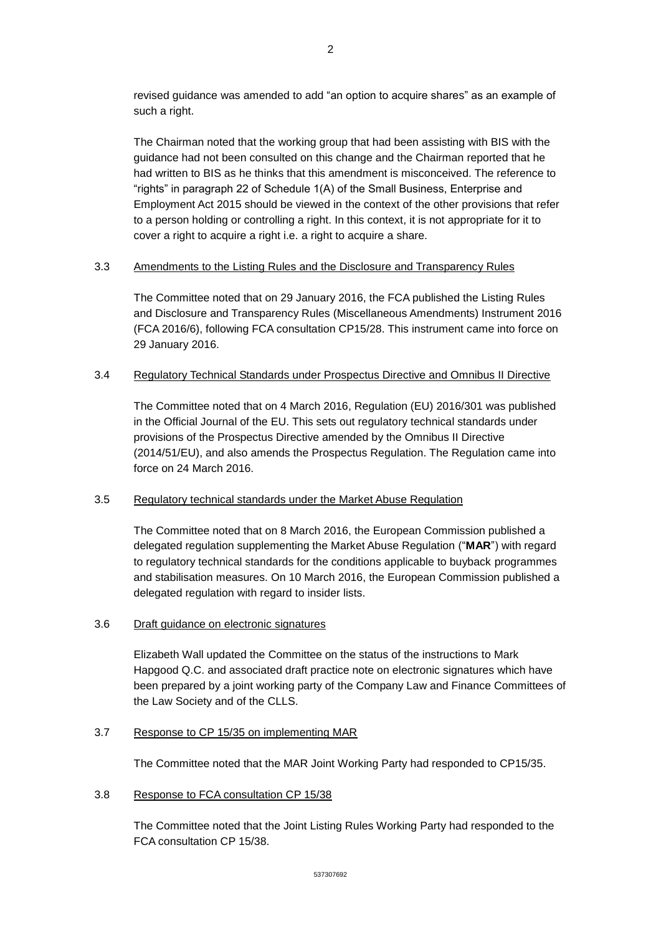revised guidance was amended to add "an option to acquire shares" as an example of such a right.

The Chairman noted that the working group that had been assisting with BIS with the guidance had not been consulted on this change and the Chairman reported that he had written to BIS as he thinks that this amendment is misconceived. The reference to "rights" in paragraph 22 of Schedule 1(A) of the Small Business, Enterprise and Employment Act 2015 should be viewed in the context of the other provisions that refer to a person holding or controlling a right. In this context, it is not appropriate for it to cover a right to acquire a right i.e. a right to acquire a share.

## 3.3 Amendments to the Listing Rules and the Disclosure and Transparency Rules

The Committee noted that on 29 January 2016, the FCA published the Listing Rules and Disclosure and Transparency Rules (Miscellaneous Amendments) Instrument 2016 (FCA 2016/6), following FCA consultation CP15/28. This instrument came into force on 29 January 2016.

### 3.4 Regulatory Technical Standards under Prospectus Directive and Omnibus II Directive

The Committee noted that on 4 March 2016, Regulation (EU) 2016/301 was published in the Official Journal of the EU. This sets out regulatory technical standards under provisions of the Prospectus Directive amended by the Omnibus II Directive (2014/51/EU), and also amends the Prospectus Regulation. The Regulation came into force on 24 March 2016.

### 3.5 Regulatory technical standards under the Market Abuse Regulation

The Committee noted that on 8 March 2016, the European Commission published a delegated regulation supplementing the Market Abuse Regulation ("**MAR**") with regard to regulatory technical standards for the conditions applicable to buyback programmes and stabilisation measures. On 10 March 2016, the European Commission published a delegated regulation with regard to insider lists.

# 3.6 Draft guidance on electronic signatures

Elizabeth Wall updated the Committee on the status of the instructions to Mark Hapgood Q.C. and associated draft practice note on electronic signatures which have been prepared by a joint working party of the Company Law and Finance Committees of the Law Society and of the CLLS.

#### 3.7 Response to CP 15/35 on implementing MAR

The Committee noted that the MAR Joint Working Party had responded to CP15/35.

#### 3.8 Response to FCA consultation CP 15/38

The Committee noted that the Joint Listing Rules Working Party had responded to the FCA consultation CP 15/38.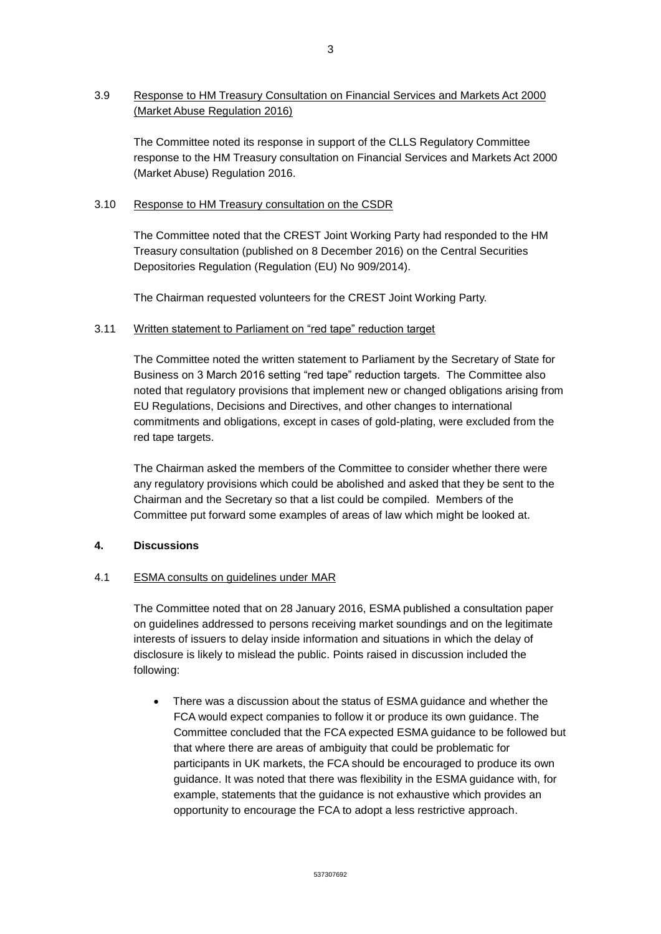# 3.9 Response to HM Treasury Consultation on Financial Services and Markets Act 2000 (Market Abuse Regulation 2016)

The Committee noted its response in support of the CLLS Regulatory Committee response to the HM Treasury consultation on Financial Services and Markets Act 2000 (Market Abuse) Regulation 2016.

## 3.10 Response to HM Treasury consultation on the CSDR

The Committee noted that the CREST Joint Working Party had responded to the HM Treasury consultation (published on 8 December 2016) on the Central Securities Depositories Regulation (Regulation (EU) No 909/2014).

The Chairman requested volunteers for the CREST Joint Working Party.

## 3.11 Written statement to Parliament on "red tape" reduction target

The Committee noted the written statement to Parliament by the Secretary of State for Business on 3 March 2016 setting "red tape" reduction targets. The Committee also noted that regulatory provisions that implement new or changed obligations arising from EU Regulations, Decisions and Directives, and other changes to international commitments and obligations, except in cases of gold-plating, were excluded from the red tape targets.

The Chairman asked the members of the Committee to consider whether there were any regulatory provisions which could be abolished and asked that they be sent to the Chairman and the Secretary so that a list could be compiled. Members of the Committee put forward some examples of areas of law which might be looked at.

# **4. Discussions**

# 4.1 ESMA consults on guidelines under MAR

The Committee noted that on 28 January 2016, ESMA published a consultation paper on guidelines addressed to persons receiving market soundings and on the legitimate interests of issuers to delay inside information and situations in which the delay of disclosure is likely to mislead the public. Points raised in discussion included the following:

 There was a discussion about the status of ESMA guidance and whether the FCA would expect companies to follow it or produce its own guidance. The Committee concluded that the FCA expected ESMA guidance to be followed but that where there are areas of ambiguity that could be problematic for participants in UK markets, the FCA should be encouraged to produce its own guidance. It was noted that there was flexibility in the ESMA guidance with, for example, statements that the guidance is not exhaustive which provides an opportunity to encourage the FCA to adopt a less restrictive approach.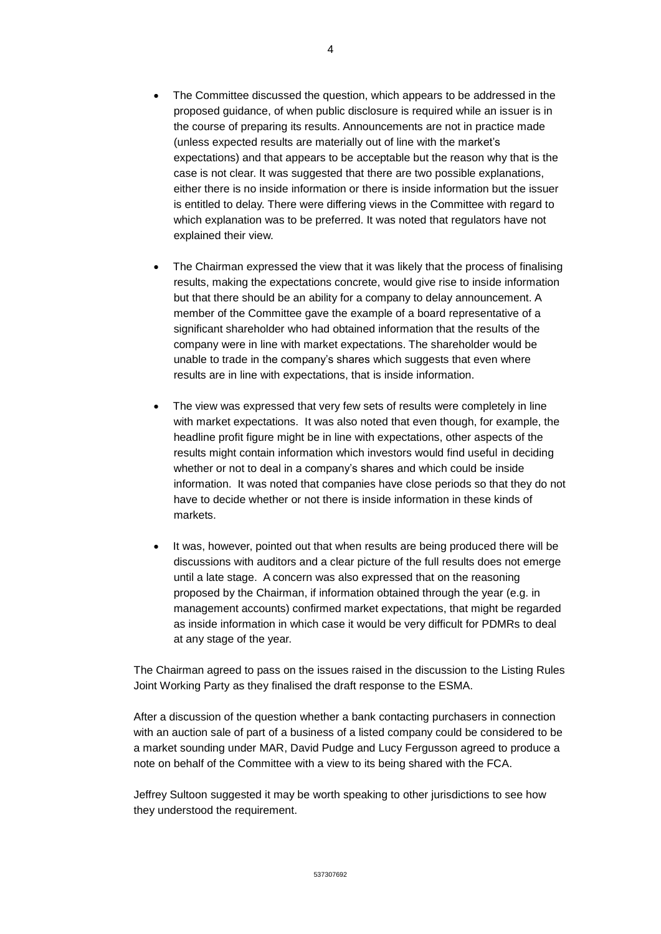- The Committee discussed the question, which appears to be addressed in the proposed guidance, of when public disclosure is required while an issuer is in the course of preparing its results. Announcements are not in practice made (unless expected results are materially out of line with the market's expectations) and that appears to be acceptable but the reason why that is the case is not clear. It was suggested that there are two possible explanations, either there is no inside information or there is inside information but the issuer is entitled to delay. There were differing views in the Committee with regard to which explanation was to be preferred. It was noted that regulators have not explained their view.
- The Chairman expressed the view that it was likely that the process of finalising results, making the expectations concrete, would give rise to inside information but that there should be an ability for a company to delay announcement. A member of the Committee gave the example of a board representative of a significant shareholder who had obtained information that the results of the company were in line with market expectations. The shareholder would be unable to trade in the company's shares which suggests that even where results are in line with expectations, that is inside information.
- The view was expressed that very few sets of results were completely in line with market expectations. It was also noted that even though, for example, the headline profit figure might be in line with expectations, other aspects of the results might contain information which investors would find useful in deciding whether or not to deal in a company's shares and which could be inside information. It was noted that companies have close periods so that they do not have to decide whether or not there is inside information in these kinds of markets.
- It was, however, pointed out that when results are being produced there will be discussions with auditors and a clear picture of the full results does not emerge until a late stage. A concern was also expressed that on the reasoning proposed by the Chairman, if information obtained through the year (e.g. in management accounts) confirmed market expectations, that might be regarded as inside information in which case it would be very difficult for PDMRs to deal at any stage of the year.

The Chairman agreed to pass on the issues raised in the discussion to the Listing Rules Joint Working Party as they finalised the draft response to the ESMA.

After a discussion of the question whether a bank contacting purchasers in connection with an auction sale of part of a business of a listed company could be considered to be a market sounding under MAR, David Pudge and Lucy Fergusson agreed to produce a note on behalf of the Committee with a view to its being shared with the FCA.

Jeffrey Sultoon suggested it may be worth speaking to other jurisdictions to see how they understood the requirement.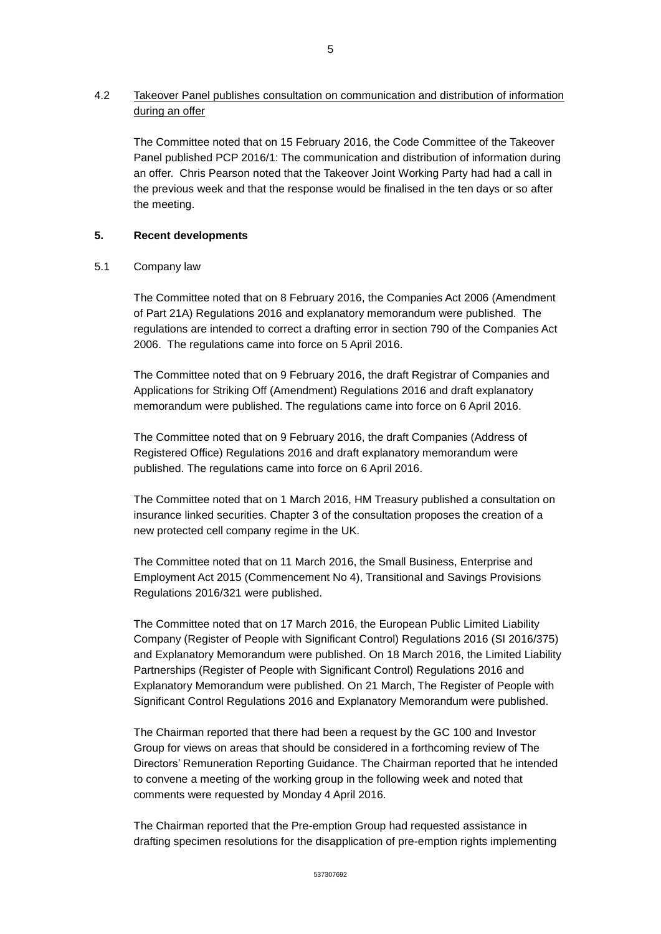4.2 Takeover Panel publishes consultation on communication and distribution of information during an offer

The Committee noted that on 15 February 2016, the Code Committee of the Takeover Panel published PCP 2016/1: The communication and distribution of information during an offer. Chris Pearson noted that the Takeover Joint Working Party had had a call in the previous week and that the response would be finalised in the ten days or so after the meeting.

## **5. Recent developments**

### 5.1 Company law

The Committee noted that on 8 February 2016, the Companies Act 2006 (Amendment of Part 21A) Regulations 2016 and explanatory memorandum were published. The regulations are intended to correct a drafting error in section 790 of the Companies Act 2006. The regulations came into force on 5 April 2016.

The Committee noted that on 9 February 2016, the draft Registrar of Companies and Applications for Striking Off (Amendment) Regulations 2016 and draft explanatory memorandum were published. The regulations came into force on 6 April 2016.

The Committee noted that on 9 February 2016, the draft Companies (Address of Registered Office) Regulations 2016 and draft explanatory memorandum were published. The regulations came into force on 6 April 2016.

The Committee noted that on 1 March 2016, HM Treasury published a consultation on insurance linked securities. Chapter 3 of the consultation proposes the creation of a new protected cell company regime in the UK.

The Committee noted that on 11 March 2016, the Small Business, Enterprise and Employment Act 2015 (Commencement No 4), Transitional and Savings Provisions Regulations 2016/321 were published.

The Committee noted that on 17 March 2016, the European Public Limited Liability Company (Register of People with Significant Control) Regulations 2016 (SI 2016/375) and Explanatory Memorandum were published. On 18 March 2016, the Limited Liability Partnerships (Register of People with Significant Control) Regulations 2016 and Explanatory Memorandum were published. On 21 March, The Register of People with Significant Control Regulations 2016 and Explanatory Memorandum were published.

The Chairman reported that there had been a request by the GC 100 and Investor Group for views on areas that should be considered in a forthcoming review of The Directors' Remuneration Reporting Guidance. The Chairman reported that he intended to convene a meeting of the working group in the following week and noted that comments were requested by Monday 4 April 2016.

The Chairman reported that the Pre-emption Group had requested assistance in drafting specimen resolutions for the disapplication of pre-emption rights implementing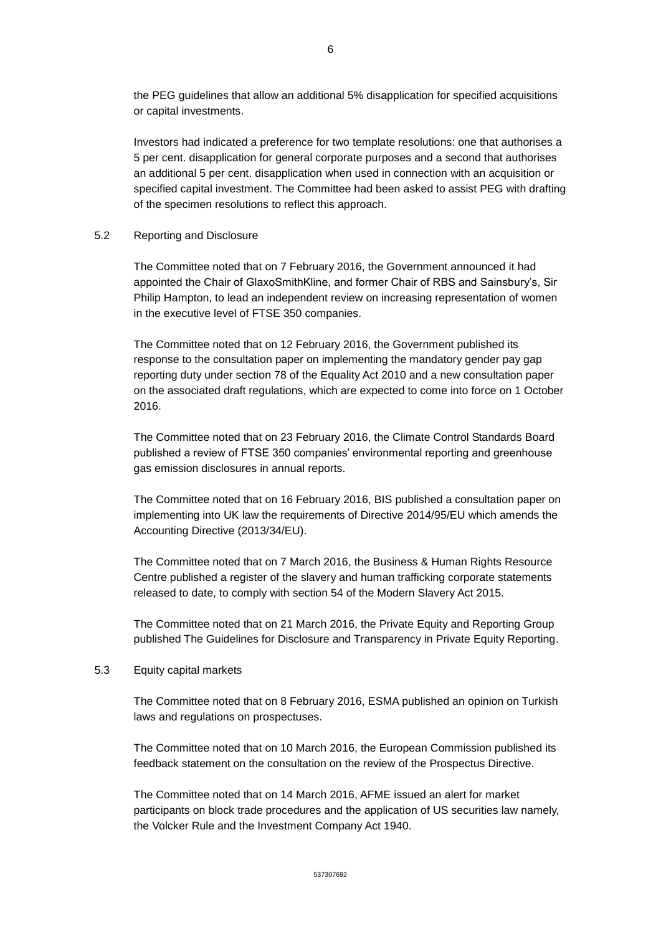the PEG guidelines that allow an additional 5% disapplication for specified acquisitions or capital investments.

Investors had indicated a preference for two template resolutions: one that authorises a 5 per cent. disapplication for general corporate purposes and a second that authorises an additional 5 per cent. disapplication when used in connection with an acquisition or specified capital investment. The Committee had been asked to assist PEG with drafting of the specimen resolutions to reflect this approach.

#### 5.2 Reporting and Disclosure

The Committee noted that on 7 February 2016, the Government announced it had appointed the Chair of GlaxoSmithKline, and former Chair of RBS and Sainsbury's, Sir Philip Hampton, to lead an independent review on increasing representation of women in the executive level of FTSE 350 companies.

The Committee noted that on 12 February 2016, the Government published its response to the consultation paper on implementing the mandatory gender pay gap reporting duty under section 78 of the Equality Act 2010 and a new consultation paper on the associated draft regulations, which are expected to come into force on 1 October 2016.

The Committee noted that on 23 February 2016, the Climate Control Standards Board published a review of FTSE 350 companies' environmental reporting and greenhouse gas emission disclosures in annual reports.

The Committee noted that on 16 February 2016, BIS published a consultation paper on implementing into UK law the requirements of Directive 2014/95/EU which amends the Accounting Directive (2013/34/EU).

The Committee noted that on 7 March 2016, the Business & Human Rights Resource Centre published a register of the slavery and human trafficking corporate statements released to date, to comply with section 54 of the Modern Slavery Act 2015.

The Committee noted that on 21 March 2016, the Private Equity and Reporting Group published The Guidelines for Disclosure and Transparency in Private Equity Reporting.

#### 5.3 Equity capital markets

The Committee noted that on 8 February 2016, ESMA published an opinion on Turkish laws and regulations on prospectuses.

The Committee noted that on 10 March 2016, the European Commission published its feedback statement on the consultation on the review of the Prospectus Directive.

The Committee noted that on 14 March 2016, AFME issued an alert for market participants on block trade procedures and the application of US securities law namely, the Volcker Rule and the Investment Company Act 1940.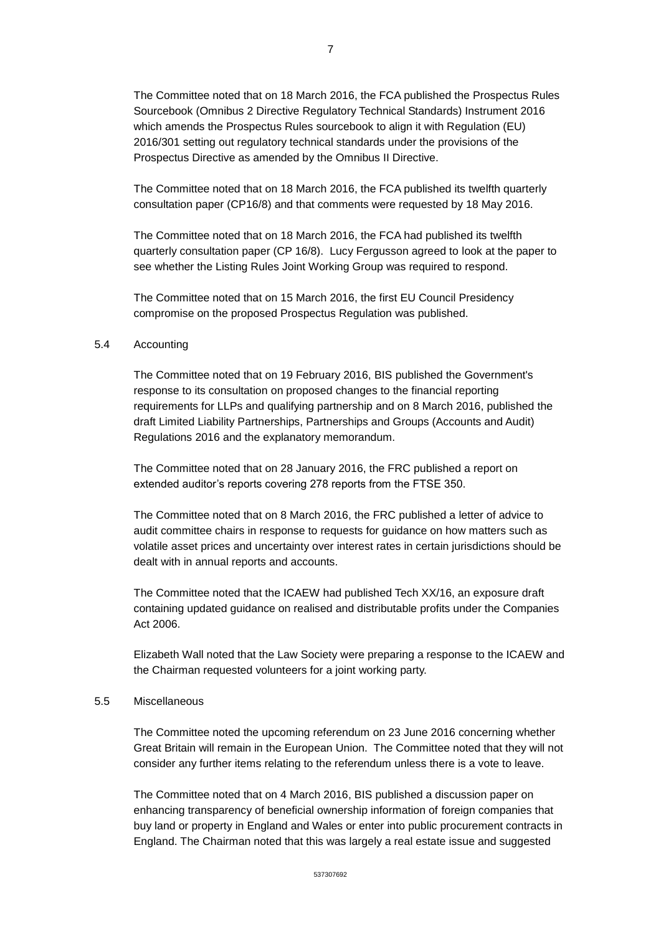The Committee noted that on 18 March 2016, the FCA published the Prospectus Rules Sourcebook (Omnibus 2 Directive Regulatory Technical Standards) Instrument 2016 which amends the Prospectus Rules sourcebook to align it with Regulation (EU) 2016/301 setting out regulatory technical standards under the provisions of the Prospectus Directive as amended by the Omnibus II Directive.

The Committee noted that on 18 March 2016, the FCA published its twelfth quarterly consultation paper (CP16/8) and that comments were requested by 18 May 2016.

The Committee noted that on 18 March 2016, the FCA had published its twelfth quarterly consultation paper (CP 16/8). Lucy Fergusson agreed to look at the paper to see whether the Listing Rules Joint Working Group was required to respond.

The Committee noted that on 15 March 2016, the first EU Council Presidency compromise on the proposed Prospectus Regulation was published.

### 5.4 Accounting

The Committee noted that on 19 February 2016, BIS published the Government's response to its consultation on proposed changes to the financial reporting requirements for LLPs and qualifying partnership and on 8 March 2016, published the draft Limited Liability Partnerships, Partnerships and Groups (Accounts and Audit) Regulations 2016 and the explanatory memorandum.

The Committee noted that on 28 January 2016, the FRC published a report on extended auditor's reports covering 278 reports from the FTSE 350.

The Committee noted that on 8 March 2016, the FRC published a letter of advice to audit committee chairs in response to requests for guidance on how matters such as volatile asset prices and uncertainty over interest rates in certain jurisdictions should be dealt with in annual reports and accounts.

The Committee noted that the ICAEW had published Tech XX/16, an exposure draft containing updated guidance on realised and distributable profits under the Companies Act 2006.

Elizabeth Wall noted that the Law Society were preparing a response to the ICAEW and the Chairman requested volunteers for a joint working party.

## 5.5 Miscellaneous

The Committee noted the upcoming referendum on 23 June 2016 concerning whether Great Britain will remain in the European Union. The Committee noted that they will not consider any further items relating to the referendum unless there is a vote to leave.

The Committee noted that on 4 March 2016, BIS published a discussion paper on enhancing transparency of beneficial ownership information of foreign companies that buy land or property in England and Wales or enter into public procurement contracts in England. The Chairman noted that this was largely a real estate issue and suggested